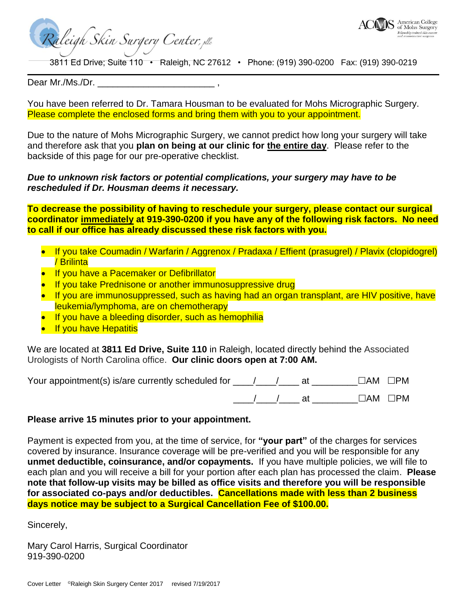

American College of Mohs Surgery

wship trained skin

3811 Ed Drive; Suite 110 • Raleigh, NC 27612 • Phone: (919) 390-0200 Fax: (919) 390-0219

Dear Mr./Ms./Dr.

You have been referred to Dr. Tamara Housman to be evaluated for Mohs Micrographic Surgery. Please complete the enclosed forms and bring them with you to your appointment.

Due to the nature of Mohs Micrographic Surgery, we cannot predict how long your surgery will take and therefore ask that you **plan on being at our clinic for the entire day**. Please refer to the backside of this page for our pre-operative checklist.

## *Due to unknown risk factors or potential complications, your surgery may have to be rescheduled if Dr. Housman deems it necessary.*

**To decrease the possibility of having to reschedule your surgery, please contact our surgical coordinator immediately at 919-390-0200 if you have any of the following risk factors. No need to call if our office has already discussed these risk factors with you.**

- If you take Coumadin / Warfarin / Aggrenox / Pradaxa / Effient (prasugrel) / Plavix (clopidogrel) / Brilinta
- **If you have a Pacemaker or Defibrillator**

Raleigh Skin Surgery Center, plc

- If you take Prednisone or another immunosuppressive drug
- If you are immunosuppressed, such as having had an organ transplant, are HIV positive, have leukemia/lymphoma, are on chemotherapy
- If you have a bleeding disorder, such as hemophilia
- If you have Hepatitis

We are located at **3811 Ed Drive, Suite 110** in Raleigh, located directly behind the Associated Urologists of North Carolina office. **Our clinic doors open at 7:00 AM.**

| Your appointment(s) is/are currently scheduled for |  |  | $\Box$ AM $\Box$ PM |
|----------------------------------------------------|--|--|---------------------|
|                                                    |  |  | $\Box$ AM $\Box$ PM |

## **Please arrive 15 minutes prior to your appointment.**

Payment is expected from you, at the time of service, for **"your part"** of the charges for services covered by insurance. Insurance coverage will be pre-verified and you will be responsible for any **unmet deductible, coinsurance, and/or copayments.** If you have multiple policies, we will file to each plan and you will receive a bill for your portion after each plan has processed the claim. **Please note that follow-up visits may be billed as office visits and therefore you will be responsible for associated co-pays and/or deductibles. Cancellations made with less than 2 business days notice may be subject to a Surgical Cancellation Fee of \$100.00.**

Sincerely,

Mary Carol Harris, Surgical Coordinator 919-390-0200